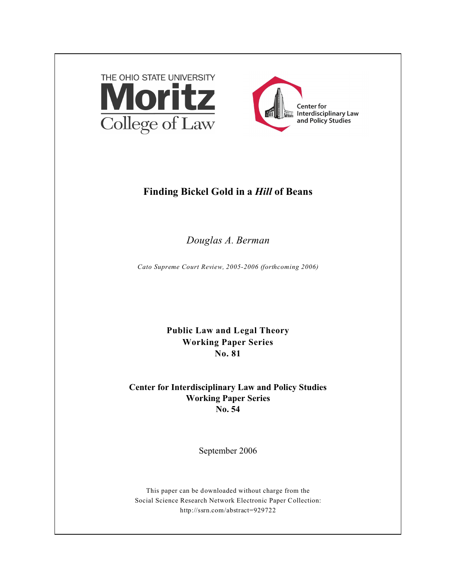



# **Finding Bickel Gold in a** *Hill* **of Beans**

*Douglas A. Berman*

*Cato Supreme Court Review, 2005-2006 (forthcoming 2006)*

**Public Law and Legal Theory Working Paper Series No. 81**

**Center for Interdisciplinary Law and Policy Studies Working Paper Series No. 54**

September 2006

This paper can be downloaded without charge from the Social Science Research Network Electronic Paper Collection: http://ssrn.com/abstract=929722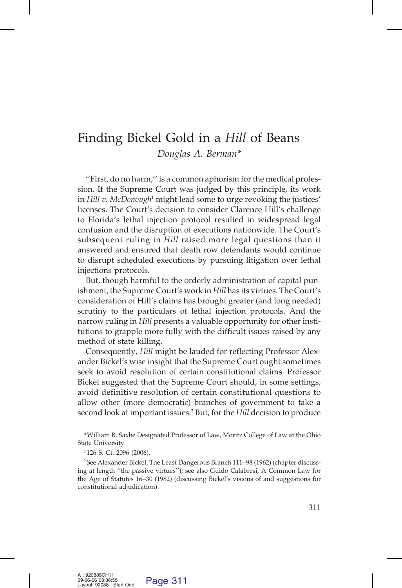## Finding Bickel Gold in a *Hill* of Beans *Douglas A. Berman\**

''First, do no harm,'' is a common aphorism for the medical profession. If the Supreme Court was judged by this principle, its work in *Hill v. McDonough*<sup>1</sup> might lead some to urge revoking the justices' licenses. The Court's decision to consider Clarence Hill's challenge to Florida's lethal injection protocol resulted in widespread legal confusion and the disruption of executions nationwide. The Court's subsequent ruling in *Hill* raised more legal questions than it answered and ensured that death row defendants would continue to disrupt scheduled executions by pursuing litigation over lethal injections protocols.

But, though harmful to the orderly administration of capital punishment, the Supreme Court's work in *Hill* has its virtues. The Court's consideration of Hill's claims has brought greater (and long needed) scrutiny to the particulars of lethal injection protocols. And the narrow ruling in *Hill* presents a valuable opportunity for other institutions to grapple more fully with the difficult issues raised by any method of state killing.

Consequently, *Hill* might be lauded for reflecting Professor Alexander Bickel's wise insight that the Supreme Court ought sometimes seek to avoid resolution of certain constitutional claims. Professor Bickel suggested that the Supreme Court should, in some settings, avoid definitive resolution of certain constitutional questions to allow other (more democratic) branches of government to take a second look at important issues.2 But, for the *Hill* decision to produce

\*William B. Saxbe Designated Professor of Law, Moritz College of Law at the Ohio State University.

<sup>1</sup> 126 S. Ct. 2096 (2006).

A : 92088\$CH11 09-06-06 08:36:55

09-06-06 08:36:55<br>Layout: 92088 : Start Odd Page 311

<sup>2</sup>See Alexander Bickel, The Least Dangerous Branch 111-98 (1962) (chapter discussing at length ''the passive virtues''); see also Guido Calabresi, A Common Law for the Age of Statutes 16–30 (1982) (discussing Bickel's visions of and suggestions for constitutional adjudication).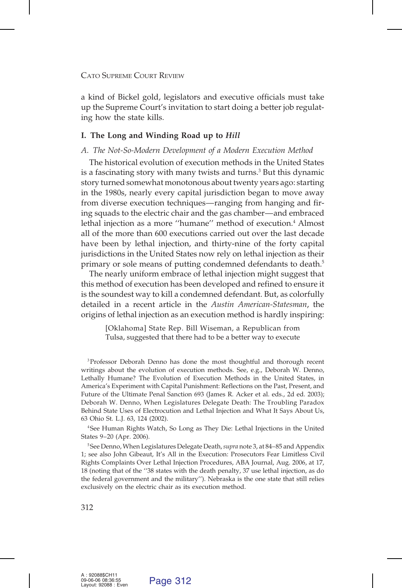a kind of Bickel gold, legislators and executive officials must take up the Supreme Court's invitation to start doing a better job regulating how the state kills.

#### **I. The Long and Winding Road up to** *Hill*

#### *A. The Not-So-Modern Development of a Modern Execution Method*

The historical evolution of execution methods in the United States is a fascinating story with many twists and turns.<sup>3</sup> But this dynamic story turned somewhat monotonous about twenty years ago: starting in the 1980s, nearly every capital jurisdiction began to move away from diverse execution techniques—ranging from hanging and firing squads to the electric chair and the gas chamber—and embraced lethal injection as a more "humane" method of execution.<sup>4</sup> Almost all of the more than 600 executions carried out over the last decade have been by lethal injection, and thirty-nine of the forty capital jurisdictions in the United States now rely on lethal injection as their primary or sole means of putting condemned defendants to death.<sup>5</sup>

The nearly uniform embrace of lethal injection might suggest that this method of execution has been developed and refined to ensure it is the soundest way to kill a condemned defendant. But, as colorfully detailed in a recent article in the *Austin American-Statesman*, the origins of lethal injection as an execution method is hardly inspiring:

[Oklahoma] State Rep. Bill Wiseman, a Republican from Tulsa, suggested that there had to be a better way to execute

3Professor Deborah Denno has done the most thoughtful and thorough recent writings about the evolution of execution methods. See, e.g., Deborah W. Denno, Lethally Humane? The Evolution of Execution Methods in the United States, in America's Experiment with Capital Punishment: Reflections on the Past, Present, and Future of the Ultimate Penal Sanction 693 (James R. Acker et al. eds., 2d ed. 2003); Deborah W. Denno, When Legislatures Delegate Death: The Troubling Paradox Behind State Uses of Electrocution and Lethal Injection and What It Says About Us, 63 Ohio St. L.J. 63, 124 (2002).

<sup>4</sup>See Human Rights Watch, So Long as They Die: Lethal Injections in the United States 9–20 (Apr. 2006).

5See Denno, When Legislatures Delegate Death,*supra* note 3, at 84–85 and Appendix 1; see also John Gibeaut, It's All in the Execution: Prosecutors Fear Limitless Civil Rights Complaints Over Lethal Injection Procedures, ABA Journal, Aug. 2006, at 17, 18 (noting that of the ''38 states with the death penalty, 37 use lethal injection, as do the federal government and the military''). Nebraska is the one state that still relies exclusively on the electric chair as its execution method.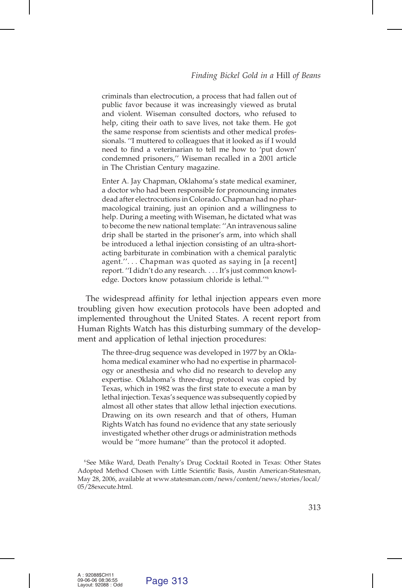criminals than electrocution, a process that had fallen out of public favor because it was increasingly viewed as brutal and violent. Wiseman consulted doctors, who refused to help, citing their oath to save lives, not take them. He got the same response from scientists and other medical professionals. ''I muttered to colleagues that it looked as if I would need to find a veterinarian to tell me how to 'put down' condemned prisoners,'' Wiseman recalled in a 2001 article in The Christian Century magazine.

Enter A. Jay Chapman, Oklahoma's state medical examiner, a doctor who had been responsible for pronouncing inmates dead after electrocutions in Colorado. Chapman had no pharmacological training, just an opinion and a willingness to help. During a meeting with Wiseman, he dictated what was to become the new national template: ''An intravenous saline drip shall be started in the prisoner's arm, into which shall be introduced a lethal injection consisting of an ultra-shortacting barbiturate in combination with a chemical paralytic agent.''. . . Chapman was quoted as saying in [a recent] report. ''I didn't do any research.... It's just common knowledge. Doctors know potassium chloride is lethal.''6

The widespread affinity for lethal injection appears even more troubling given how execution protocols have been adopted and implemented throughout the United States. A recent report from Human Rights Watch has this disturbing summary of the development and application of lethal injection procedures:

The three-drug sequence was developed in 1977 by an Oklahoma medical examiner who had no expertise in pharmacology or anesthesia and who did no research to develop any expertise. Oklahoma's three-drug protocol was copied by Texas, which in 1982 was the first state to execute a man by lethal injection. Texas's sequence was subsequently copied by almost all other states that allow lethal injection executions. Drawing on its own research and that of others, Human Rights Watch has found no evidence that any state seriously investigated whether other drugs or administration methods would be ''more humane'' than the protocol it adopted.

<sup>6</sup>See Mike Ward, Death Penalty's Drug Cocktail Rooted in Texas: Other States Adopted Method Chosen with Little Scientific Basis, Austin American-Statesman, May 28, 2006, available at www.statesman.com/news/content/news/stories/local/ 05/28execute.html.

A : 92088\$CH11 09-06-06 08:36:55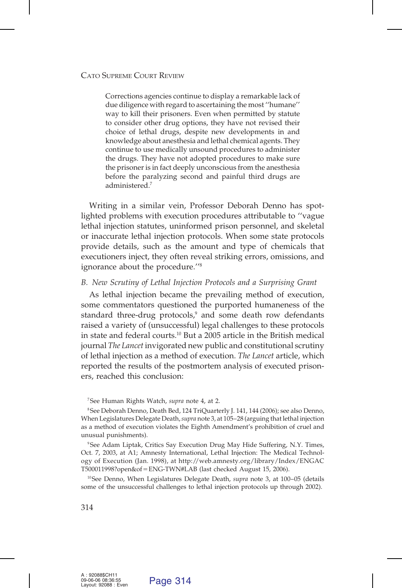Corrections agencies continue to display a remarkable lack of due diligence with regard to ascertaining the most ''humane'' way to kill their prisoners. Even when permitted by statute to consider other drug options, they have not revised their choice of lethal drugs, despite new developments in and knowledge about anesthesia and lethal chemical agents. They continue to use medically unsound procedures to administer the drugs. They have not adopted procedures to make sure the prisoner is in fact deeply unconscious from the anesthesia before the paralyzing second and painful third drugs are administered.7

Writing in a similar vein, Professor Deborah Denno has spotlighted problems with execution procedures attributable to ''vague lethal injection statutes, uninformed prison personnel, and skeletal or inaccurate lethal injection protocols. When some state protocols provide details, such as the amount and type of chemicals that executioners inject, they often reveal striking errors, omissions, and ignorance about the procedure.''8

## *B. New Scrutiny of Lethal Injection Protocols and a Surprising Grant*

As lethal injection became the prevailing method of execution, some commentators questioned the purported humaneness of the standard three-drug protocols, $9$  and some death row defendants raised a variety of (unsuccessful) legal challenges to these protocols in state and federal courts.10 But a 2005 article in the British medical journal *The Lancet* invigorated new public and constitutional scrutiny of lethal injection as a method of execution. *The Lancet* article, which reported the results of the postmortem analysis of executed prisoners, reached this conclusion:

7See Human Rights Watch, *supra* note 4, at 2.

8See Deborah Denno, Death Bed, 124 TriQuarterly J. 141, 144 (2006); see also Denno, When Legislatures Delegate Death,*supra* note 3, at 105–28 (arguing that lethal injection as a method of execution violates the Eighth Amendment's prohibition of cruel and unusual punishments).

9See Adam Liptak, Critics Say Execution Drug May Hide Suffering, N.Y. Times, Oct. 7, 2003, at A1; Amnesty International, Lethal Injection: The Medical Technology of Execution (Jan. 1998), at http://web.amnesty.org/library/Index/ENGAC T500011998?open&of-ENG-TWN#LAB (last checked August 15, 2006).

10See Denno, When Legislatures Delegate Death, *supra* note 3, at 100–05 (details some of the unsuccessful challenges to lethal injection protocols up through 2002).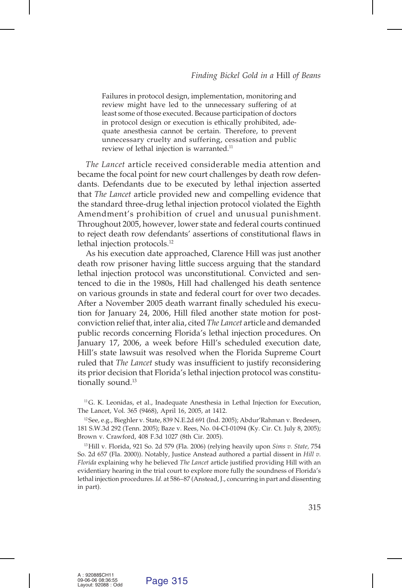Failures in protocol design, implementation, monitoring and review might have led to the unnecessary suffering of at least some of those executed. Because participation of doctors in protocol design or execution is ethically prohibited, adequate anesthesia cannot be certain. Therefore, to prevent unnecessary cruelty and suffering, cessation and public review of lethal injection is warranted.<sup>11</sup>

*The Lancet* article received considerable media attention and became the focal point for new court challenges by death row defendants. Defendants due to be executed by lethal injection asserted that *The Lancet* article provided new and compelling evidence that the standard three-drug lethal injection protocol violated the Eighth Amendment's prohibition of cruel and unusual punishment. Throughout 2005, however, lower state and federal courts continued to reject death row defendants' assertions of constitutional flaws in lethal injection protocols.12

As his execution date approached, Clarence Hill was just another death row prisoner having little success arguing that the standard lethal injection protocol was unconstitutional. Convicted and sentenced to die in the 1980s, Hill had challenged his death sentence on various grounds in state and federal court for over two decades. After a November 2005 death warrant finally scheduled his execution for January 24, 2006, Hill filed another state motion for postconviction relief that, inter alia, cited *The Lancet* article and demanded public records concerning Florida's lethal injection procedures. On January 17, 2006, a week before Hill's scheduled execution date, Hill's state lawsuit was resolved when the Florida Supreme Court ruled that *The Lancet* study was insufficient to justify reconsidering its prior decision that Florida's lethal injection protocol was constitutionally sound.<sup>13</sup>

<sup>11</sup>G. K. Leonidas, et al., Inadequate Anesthesia in Lethal Injection for Execution, The Lancet, Vol. 365 (9468), April 16, 2005, at 1412.

12See, e.g., Bieghler v. State, 839 N.E.2d 691 (Ind. 2005); Abdur'Rahman v. Bredesen, 181 S.W.3d 292 (Tenn. 2005); Baze v. Rees, No. 04-CI-01094 (Ky. Cir. Ct. July 8, 2005); Brown v. Crawford, 408 F.3d 1027 (8th Cir. 2005).

13Hill v. Florida, 921 So. 2d 579 (Fla. 2006) (relying heavily upon *Sims v. State,* 754 So. 2d 657 (Fla. 2000)). Notably, Justice Anstead authored a partial dissent in *Hill v. Florida* explaining why he believed *The Lancet* article justified providing Hill with an evidentiary hearing in the trial court to explore more fully the soundness of Florida's lethal injection procedures. *Id.* at 586–87 (Anstead, J., concurring in part and dissenting in part).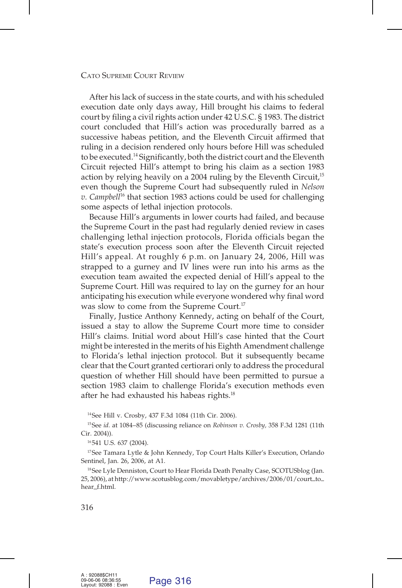After his lack of success in the state courts, and with his scheduled execution date only days away, Hill brought his claims to federal court by filing a civil rights action under 42 U.S.C. § 1983. The district court concluded that Hill's action was procedurally barred as a successive habeas petition, and the Eleventh Circuit affirmed that ruling in a decision rendered only hours before Hill was scheduled to be executed.14 Significantly, both the district court and the Eleventh Circuit rejected Hill's attempt to bring his claim as a section 1983 action by relying heavily on a 2004 ruling by the Eleventh Circuit.<sup>15</sup> even though the Supreme Court had subsequently ruled in *Nelson v. Campbell*<sup>16</sup> that section 1983 actions could be used for challenging some aspects of lethal injection protocols.

Because Hill's arguments in lower courts had failed, and because the Supreme Court in the past had regularly denied review in cases challenging lethal injection protocols, Florida officials began the state's execution process soon after the Eleventh Circuit rejected Hill's appeal. At roughly 6 p.m. on January 24, 2006, Hill was strapped to a gurney and IV lines were run into his arms as the execution team awaited the expected denial of Hill's appeal to the Supreme Court. Hill was required to lay on the gurney for an hour anticipating his execution while everyone wondered why final word was slow to come from the Supreme Court.<sup>17</sup>

Finally, Justice Anthony Kennedy, acting on behalf of the Court, issued a stay to allow the Supreme Court more time to consider Hill's claims. Initial word about Hill's case hinted that the Court might be interested in the merits of his Eighth Amendment challenge to Florida's lethal injection protocol. But it subsequently became clear that the Court granted certiorari only to address the procedural question of whether Hill should have been permitted to pursue a section 1983 claim to challenge Florida's execution methods even after he had exhausted his habeas rights.18

14See Hill v. Crosby, 437 F.3d 1084 (11th Cir. 2006).

15See *id.* at 1084–85 (discussing reliance on *Robinson v. Crosby,* 358 F.3d 1281 (11th Cir. 2004)).

<sup>16</sup> 541 U.S. 637 (2004).

<sup>17</sup>See Tamara Lytle & John Kennedy, Top Court Halts Killer's Execution, Orlando Sentinel, Jan. 26, 2006, at A1.

<sup>18</sup> See Lyle Denniston, Court to Hear Florida Death Penalty Case, SCOTUSblog (Jan. 25, 2006), at http://www.scotusblog.com/movabletype/archives/2006/01/court to hear\_f.html.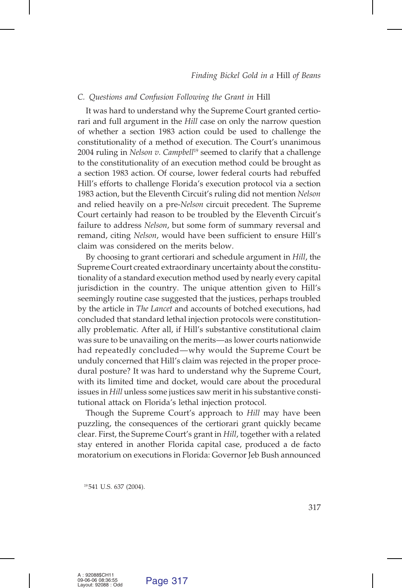#### *C. Questions and Confusion Following the Grant in* Hill

It was hard to understand why the Supreme Court granted certiorari and full argument in the *Hill* case on only the narrow question of whether a section 1983 action could be used to challenge the constitutionality of a method of execution. The Court's unanimous 2004 ruling in *Nelson v. Campbell*<sup>19</sup> seemed to clarify that a challenge to the constitutionality of an execution method could be brought as a section 1983 action. Of course, lower federal courts had rebuffed Hill's efforts to challenge Florida's execution protocol via a section 1983 action, but the Eleventh Circuit's ruling did not mention *Nelson* and relied heavily on a pre-*Nelson* circuit precedent. The Supreme Court certainly had reason to be troubled by the Eleventh Circuit's failure to address *Nelson*, but some form of summary reversal and remand, citing *Nelson*, would have been sufficient to ensure Hill's claim was considered on the merits below.

By choosing to grant certiorari and schedule argument in *Hill*, the Supreme Court created extraordinary uncertainty about the constitutionality of a standard execution method used by nearly every capital jurisdiction in the country. The unique attention given to Hill's seemingly routine case suggested that the justices, perhaps troubled by the article in *The Lancet* and accounts of botched executions, had concluded that standard lethal injection protocols were constitutionally problematic. After all, if Hill's substantive constitutional claim was sure to be unavailing on the merits—as lower courts nationwide had repeatedly concluded—why would the Supreme Court be unduly concerned that Hill's claim was rejected in the proper procedural posture? It was hard to understand why the Supreme Court, with its limited time and docket, would care about the procedural issues in *Hill* unless some justices saw merit in his substantive constitutional attack on Florida's lethal injection protocol.

Though the Supreme Court's approach to *Hill* may have been puzzling, the consequences of the certiorari grant quickly became clear. First, the Supreme Court's grant in *Hill*, together with a related stay entered in another Florida capital case, produced a de facto moratorium on executions in Florida: Governor Jeb Bush announced

Page 317

<sup>19</sup> 541 U.S. 637 (2004).

A : 92088\$CH11 09-06-06 08:36:55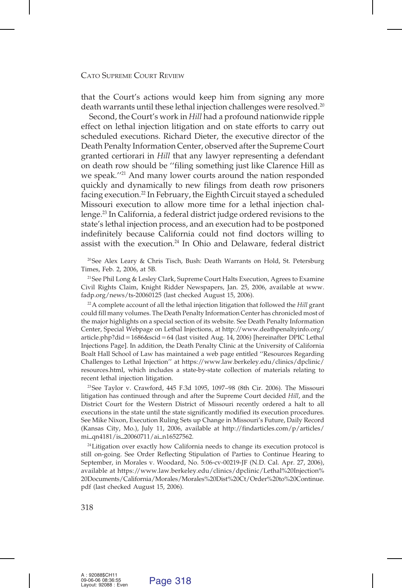that the Court's actions would keep him from signing any more death warrants until these lethal injection challenges were resolved.<sup>20</sup>

Second, the Court's work in *Hill* had a profound nationwide ripple effect on lethal injection litigation and on state efforts to carry out scheduled executions. Richard Dieter, the executive director of the Death Penalty Information Center, observed after the Supreme Court granted certiorari in *Hill* that any lawyer representing a defendant on death row should be ''filing something just like Clarence Hill as we speak.''21 And many lower courts around the nation responded quickly and dynamically to new filings from death row prisoners facing execution.22 In February, the Eighth Circuit stayed a scheduled Missouri execution to allow more time for a lethal injection challenge.23 In California, a federal district judge ordered revisions to the state's lethal injection process, and an execution had to be postponed indefinitely because California could not find doctors willing to assist with the execution.24 In Ohio and Delaware, federal district

<sup>20</sup>See Alex Leary & Chris Tisch, Bush: Death Warrants on Hold, St. Petersburg Times, Feb. 2, 2006, at 5B.

21See Phil Long & Lesley Clark, Supreme Court Halts Execution, Agrees to Examine Civil Rights Claim, Knight Ridder Newspapers, Jan. 25, 2006, available at www. fadp.org/news/ts-20060125 (last checked August 15, 2006).

22A complete account of all the lethal injection litigation that followed the *Hill* grant could fill many volumes. The Death Penalty Information Center has chronicled most of the major highlights on a special section of its website. See Death Penalty Information Center, Special Webpage on Lethal Injections, at http://www.deathpenaltyinfo.org/ article.php?did-1686&scid-64 (last visited Aug. 14, 2006) [hereinafter DPIC Lethal Injections Page]. In addition, the Death Penalty Clinic at the University of California Boalt Hall School of Law has maintained a web page entitled ''Resources Regarding Challenges to Lethal Injection'' at https://www.law.berkeley.edu/clinics/dpclinic/ resources.html, which includes a state-by-state collection of materials relating to recent lethal injection litigation.

<sup>23</sup>See Taylor v. Crawford,  $445$  F.3d 1095, 1097–98 (8th Cir. 2006). The Missouri litigation has continued through and after the Supreme Court decided *Hill*, and the District Court for the Western District of Missouri recently ordered a halt to all executions in the state until the state significantly modified its execution procedures. See Mike Nixon, Execution Ruling Sets up Change in Missouri's Future, Daily Record (Kansas City, Mo.), July 11, 2006, available at http://findarticles.com/p/articles/ mi\_qn4181/is\_20060711/ai\_n16527562.

 $24$ Litigation over exactly how California needs to change its execution protocol is still on-going. See Order Reflecting Stipulation of Parties to Continue Hearing to September, in Morales v. Woodard, No. 5:06-cv-00219-JF (N.D. Cal. Apr. 27, 2006), available at https://www.law.berkeley.edu/clinics/dpclinic/Lethal%20Injection% 20Documents/California/Morales/Morales%20Dist%20Ct/Order%20to%20Continue. pdf (last checked August 15, 2006).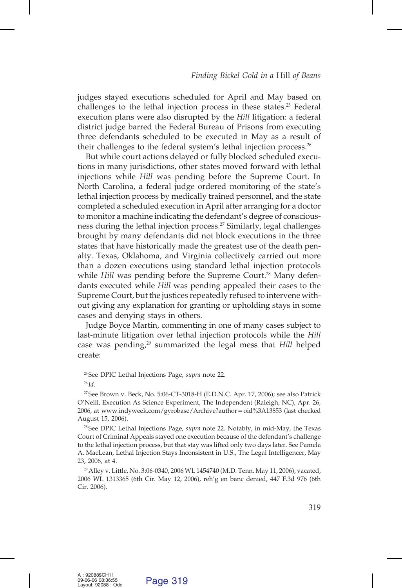judges stayed executions scheduled for April and May based on challenges to the lethal injection process in these states. $25$  Federal execution plans were also disrupted by the *Hill* litigation: a federal district judge barred the Federal Bureau of Prisons from executing three defendants scheduled to be executed in May as a result of their challenges to the federal system's lethal injection process.<sup>26</sup>

But while court actions delayed or fully blocked scheduled executions in many jurisdictions, other states moved forward with lethal injections while *Hill* was pending before the Supreme Court. In North Carolina, a federal judge ordered monitoring of the state's lethal injection process by medically trained personnel, and the state completed a scheduled execution in April after arranging for a doctor to monitor a machine indicating the defendant's degree of consciousness during the lethal injection process.<sup>27</sup> Similarly, legal challenges brought by many defendants did not block executions in the three states that have historically made the greatest use of the death penalty. Texas, Oklahoma, and Virginia collectively carried out more than a dozen executions using standard lethal injection protocols while *Hill* was pending before the Supreme Court.<sup>28</sup> Many defendants executed while *Hill* was pending appealed their cases to the Supreme Court, but the justices repeatedly refused to intervene without giving any explanation for granting or upholding stays in some cases and denying stays in others.

Judge Boyce Martin, commenting in one of many cases subject to last-minute litigation over lethal injection protocols while the *Hill* case was pending,<sup>29</sup> summarized the legal mess that *Hill* helped create:

25See DPIC Lethal Injections Page, *supra* note 22.

<sup>26</sup> *Id.*

 $^{27}$ See Brown v. Beck, No. 5:06-CT-3018-H (E.D.N.C. Apr. 17, 2006); see also Patrick O'Neill, Execution As Science Experiment, The Independent (Raleigh, NC), Apr. 26, 2006, at www.indyweek.com/gyrobase/Archive?author=oid%3A13853 (last checked August 15, 2006).

<sup>28</sup> See DPIC Lethal Injections Page, *supra* note 22. Notably, in mid-May, the Texas Court of Criminal Appeals stayed one execution because of the defendant's challenge to the lethal injection process, but that stay was lifted only two days later. See Pamela A. MacLean, Lethal Injection Stays Inconsistent in U.S., The Legal Intelligencer, May 23, 2006, at 4.

29Alley v. Little, No. 3:06-0340, 2006 WL 1454740 (M.D. Tenn. May 11, 2006), vacated, 2006 WL 1313365 (6th Cir. May 12, 2006), reh'g en banc denied, 447 F.3d 976 (6th Cir. 2006).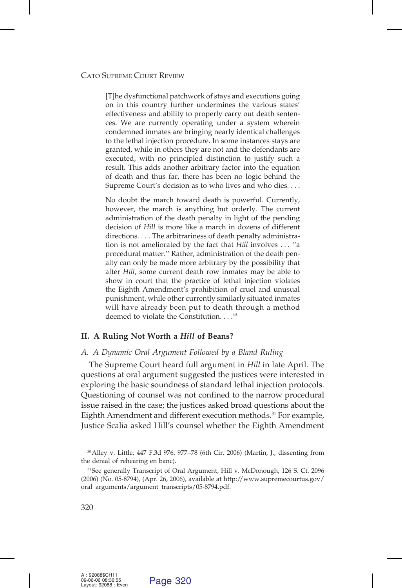[T]he dysfunctional patchwork of stays and executions going on in this country further undermines the various states' effectiveness and ability to properly carry out death sentences. We are currently operating under a system wherein condemned inmates are bringing nearly identical challenges to the lethal injection procedure. In some instances stays are granted, while in others they are not and the defendants are executed, with no principled distinction to justify such a result. This adds another arbitrary factor into the equation of death and thus far, there has been no logic behind the Supreme Court's decision as to who lives and who dies....

No doubt the march toward death is powerful. Currently, however, the march is anything but orderly. The current administration of the death penalty in light of the pending decision of *Hill* is more like a march in dozens of different directions. . . . The arbitrariness of death penalty administration is not ameliorated by the fact that *Hill* involves . . . ''a procedural matter.'' Rather, administration of the death penalty can only be made more arbitrary by the possibility that after *Hill*, some current death row inmates may be able to show in court that the practice of lethal injection violates the Eighth Amendment's prohibition of cruel and unusual punishment, while other currently similarly situated inmates will have already been put to death through a method deemed to violate the Constitution....30

#### **II. A Ruling Not Worth a** *Hill* **of Beans?**

#### *A. A Dynamic Oral Argument Followed by a Bland Ruling*

The Supreme Court heard full argument in *Hill* in late April. The questions at oral argument suggested the justices were interested in exploring the basic soundness of standard lethal injection protocols. Questioning of counsel was not confined to the narrow procedural issue raised in the case; the justices asked broad questions about the Eighth Amendment and different execution methods.<sup>31</sup> For example, Justice Scalia asked Hill's counsel whether the Eighth Amendment

<sup>30</sup>Alley v. Little, 447 F.3d 976, 977–78 (6th Cir. 2006) (Martin, J., dissenting from the denial of rehearing en banc).

<sup>31</sup>See generally Transcript of Oral Argument, Hill v. McDonough, 126 S. Ct. 2096 (2006) (No. 05-8794), (Apr. 26, 2006), available at http://www.supremecourtus.gov/ oral\_arguments/argument\_transcripts/05-8794.pdf.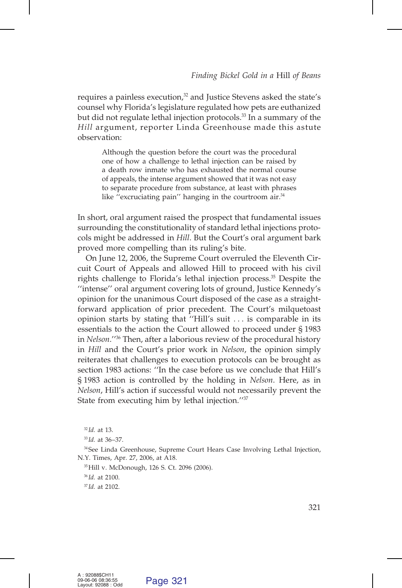requires a painless execution,<sup>32</sup> and Justice Stevens asked the state's counsel why Florida's legislature regulated how pets are euthanized but did not regulate lethal injection protocols.<sup>33</sup> In a summary of the *Hill* argument, reporter Linda Greenhouse made this astute observation:

Although the question before the court was the procedural one of how a challenge to lethal injection can be raised by a death row inmate who has exhausted the normal course of appeals, the intense argument showed that it was not easy to separate procedure from substance, at least with phrases like "excruciating pain" hanging in the courtroom air. $34$ 

In short, oral argument raised the prospect that fundamental issues surrounding the constitutionality of standard lethal injections protocols might be addressed in *Hill*. But the Court's oral argument bark proved more compelling than its ruling's bite.

On June 12, 2006, the Supreme Court overruled the Eleventh Circuit Court of Appeals and allowed Hill to proceed with his civil rights challenge to Florida's lethal injection process.<sup>35</sup> Despite the ''intense'' oral argument covering lots of ground, Justice Kennedy's opinion for the unanimous Court disposed of the case as a straightforward application of prior precedent. The Court's milquetoast opinion starts by stating that ''Hill's suit . . . is comparable in its essentials to the action the Court allowed to proceed under § 1983 in *Nelson*.''36 Then, after a laborious review of the procedural history in *Hill* and the Court's prior work in *Nelson*, the opinion simply reiterates that challenges to execution protocols can be brought as section 1983 actions: ''In the case before us we conclude that Hill's § 1983 action is controlled by the holding in *Nelson*. Here, as in *Nelson*, Hill's action if successful would not necessarily prevent the State from executing him by lethal injection."<sup>37</sup>

<sup>32</sup> *Id.* at 13.

35Hill v. McDonough, 126 S. Ct. 2096 (2006).

<sup>36</sup> *Id.* at 2100.

<sup>37</sup> *Id.* at 2102.

A : 92088\$CH11 09-06-06 08:36:55

<sup>33</sup> *Id.* at 36–37.

<sup>34</sup>See Linda Greenhouse, Supreme Court Hears Case Involving Lethal Injection, N.Y. Times, Apr. 27, 2006, at A18.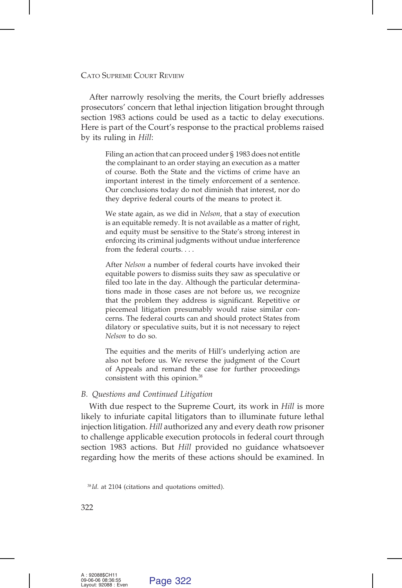After narrowly resolving the merits, the Court briefly addresses prosecutors' concern that lethal injection litigation brought through section 1983 actions could be used as a tactic to delay executions. Here is part of the Court's response to the practical problems raised by its ruling in *Hill*:

Filing an action that can proceed under § 1983 does not entitle the complainant to an order staying an execution as a matter of course. Both the State and the victims of crime have an important interest in the timely enforcement of a sentence. Our conclusions today do not diminish that interest, nor do they deprive federal courts of the means to protect it.

We state again, as we did in *Nelson*, that a stay of execution is an equitable remedy. It is not available as a matter of right, and equity must be sensitive to the State's strong interest in enforcing its criminal judgments without undue interference from the federal courts....

After *Nelson* a number of federal courts have invoked their equitable powers to dismiss suits they saw as speculative or filed too late in the day. Although the particular determinations made in those cases are not before us, we recognize that the problem they address is significant. Repetitive or piecemeal litigation presumably would raise similar concerns. The federal courts can and should protect States from dilatory or speculative suits, but it is not necessary to reject *Nelson* to do so.

The equities and the merits of Hill's underlying action are also not before us. We reverse the judgment of the Court of Appeals and remand the case for further proceedings consistent with this opinion.<sup>38</sup>

#### *B. Questions and Continued Litigation*

With due respect to the Supreme Court, its work in *Hill* is more likely to infuriate capital litigators than to illuminate future lethal injection litigation. *Hill* authorized any and every death row prisoner to challenge applicable execution protocols in federal court through section 1983 actions. But *Hill* provided no guidance whatsoever regarding how the merits of these actions should be examined. In

<sup>38</sup> *Id.* at 2104 (citations and quotations omitted).

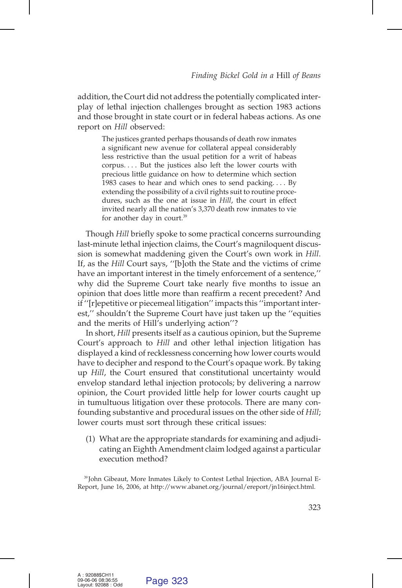addition, the Court did not address the potentially complicated interplay of lethal injection challenges brought as section 1983 actions and those brought in state court or in federal habeas actions. As one report on *Hill* observed:

The justices granted perhaps thousands of death row inmates a significant new avenue for collateral appeal considerably less restrictive than the usual petition for a writ of habeas corpus. . . . But the justices also left the lower courts with precious little guidance on how to determine which section 1983 cases to hear and which ones to send packing. . . . By extending the possibility of a civil rights suit to routine procedures, such as the one at issue in *Hill*, the court in effect invited nearly all the nation's 3,370 death row inmates to vie for another day in court.39

Though *Hill* briefly spoke to some practical concerns surrounding last-minute lethal injection claims, the Court's magniloquent discussion is somewhat maddening given the Court's own work in *Hill*. If, as the *Hill* Court says, ''[b]oth the State and the victims of crime have an important interest in the timely enforcement of a sentence,'' why did the Supreme Court take nearly five months to issue an opinion that does little more than reaffirm a recent precedent? And if ''[r]epetitive or piecemeal litigation'' impacts this ''important interest,'' shouldn't the Supreme Court have just taken up the ''equities and the merits of Hill's underlying action''?

In short, *Hill* presents itself as a cautious opinion, but the Supreme Court's approach to *Hill* and other lethal injection litigation has displayed a kind of recklessness concerning how lower courts would have to decipher and respond to the Court's opaque work. By taking up *Hill*, the Court ensured that constitutional uncertainty would envelop standard lethal injection protocols; by delivering a narrow opinion, the Court provided little help for lower courts caught up in tumultuous litigation over these protocols. There are many confounding substantive and procedural issues on the other side of *Hill*; lower courts must sort through these critical issues:

(1) What are the appropriate standards for examining and adjudicating an Eighth Amendment claim lodged against a particular execution method?

<sup>39</sup> John Gibeaut, More Inmates Likely to Contest Lethal Injection, ABA Journal E-Report, June 16, 2006, at http://www.abanet.org/journal/ereport/jn16inject.html.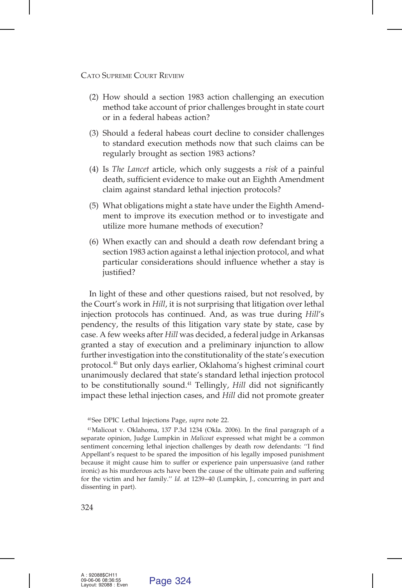- (2) How should a section 1983 action challenging an execution method take account of prior challenges brought in state court or in a federal habeas action?
- (3) Should a federal habeas court decline to consider challenges to standard execution methods now that such claims can be regularly brought as section 1983 actions?
- (4) Is *The Lancet* article, which only suggests a *risk* of a painful death, sufficient evidence to make out an Eighth Amendment claim against standard lethal injection protocols?
- (5) What obligations might a state have under the Eighth Amendment to improve its execution method or to investigate and utilize more humane methods of execution?
- (6) When exactly can and should a death row defendant bring a section 1983 action against a lethal injection protocol, and what particular considerations should influence whether a stay is justified?

In light of these and other questions raised, but not resolved, by the Court's work in *Hill*, it is not surprising that litigation over lethal injection protocols has continued. And, as was true during *Hill*'s pendency, the results of this litigation vary state by state, case by case. A few weeks after *Hill* was decided, a federal judge in Arkansas granted a stay of execution and a preliminary injunction to allow further investigation into the constitutionality of the state's execution protocol.40 But only days earlier, Oklahoma's highest criminal court unanimously declared that state's standard lethal injection protocol to be constitutionally sound.41 Tellingly, *Hill* did not significantly impact these lethal injection cases, and *Hill* did not promote greater

<sup>40</sup>See DPIC Lethal Injections Page, *supra* note 22.

<sup>41</sup>Malicoat v. Oklahoma, 137 P.3d 1234 (Okla. 2006). In the final paragraph of a separate opinion, Judge Lumpkin in *Malicoat* expressed what might be a common sentiment concerning lethal injection challenges by death row defendants: ''I find Appellant's request to be spared the imposition of his legally imposed punishment because it might cause him to suffer or experience pain unpersuasive (and rather ironic) as his murderous acts have been the cause of the ultimate pain and suffering for the victim and her family.'' *Id.* at 1239–40 (Lumpkin, J., concurring in part and dissenting in part).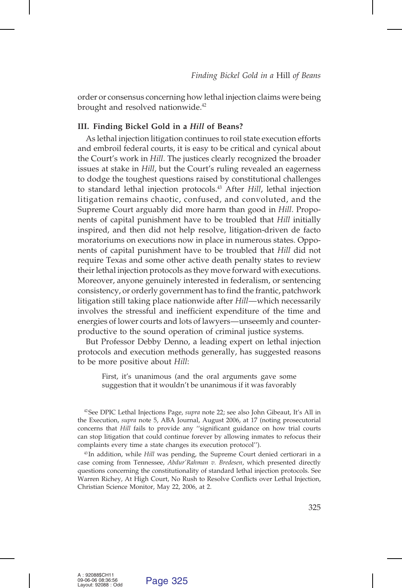order or consensus concerning how lethal injection claims were being brought and resolved nationwide.<sup>42</sup>

## **III. Finding Bickel Gold in a** *Hill* **of Beans?**

As lethal injection litigation continues to roil state execution efforts and embroil federal courts, it is easy to be critical and cynical about the Court's work in *Hill*. The justices clearly recognized the broader issues at stake in *Hill*, but the Court's ruling revealed an eagerness to dodge the toughest questions raised by constitutional challenges to standard lethal injection protocols.<sup>43</sup> After *Hill*, lethal injection litigation remains chaotic, confused, and convoluted, and the Supreme Court arguably did more harm than good in *Hill*. Proponents of capital punishment have to be troubled that *Hill* initially inspired, and then did not help resolve, litigation-driven de facto moratoriums on executions now in place in numerous states. Opponents of capital punishment have to be troubled that *Hill* did not require Texas and some other active death penalty states to review their lethal injection protocols as they move forward with executions. Moreover, anyone genuinely interested in federalism, or sentencing consistency, or orderly government has to find the frantic, patchwork litigation still taking place nationwide after *Hill*—which necessarily involves the stressful and inefficient expenditure of the time and energies of lower courts and lots of lawyers—unseemly and counterproductive to the sound operation of criminal justice systems.

But Professor Debby Denno, a leading expert on lethal injection protocols and execution methods generally, has suggested reasons to be more positive about *Hill*:

First, it's unanimous (and the oral arguments gave some suggestion that it wouldn't be unanimous if it was favorably

42See DPIC Lethal Injections Page, *supra* note 22; see also John Gibeaut, It's All in the Execution, *supra* note 5, ABA Journal, August 2006, at 17 (noting prosecutorial concerns that *Hill* fails to provide any ''significant guidance on how trial courts can stop litigation that could continue forever by allowing inmates to refocus their complaints every time a state changes its execution protocol'').

<sup>43</sup> In addition, while *Hill* was pending, the Supreme Court denied certiorari in a case coming from Tennessee, *Abdur'Rahman v. Bredesen*, which presented directly questions concerning the constitutionality of standard lethal injection protocols. See Warren Richey, At High Court, No Rush to Resolve Conflicts over Lethal Injection, Christian Science Monitor, May 22, 2006, at 2.

A : 92088\$CH11 09-06-06 08:36:56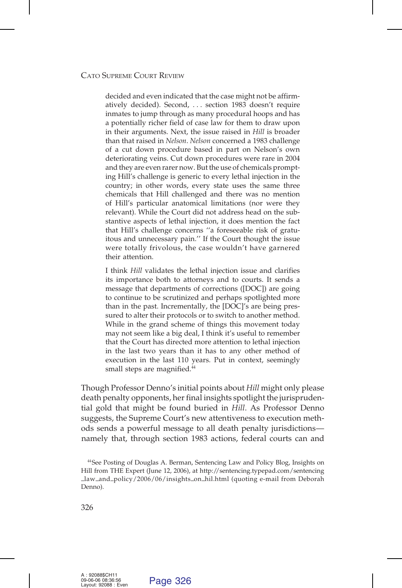decided and even indicated that the case might not be affirmatively decided). Second, . . . section 1983 doesn't require inmates to jump through as many procedural hoops and has a potentially richer field of case law for them to draw upon in their arguments. Next, the issue raised in *Hill* is broader than that raised in *Nelson*. *Nelson* concerned a 1983 challenge of a cut down procedure based in part on Nelson's own deteriorating veins. Cut down procedures were rare in 2004 and they are even rarer now. But the use of chemicals prompting Hill's challenge is generic to every lethal injection in the country; in other words, every state uses the same three chemicals that Hill challenged and there was no mention of Hill's particular anatomical limitations (nor were they relevant). While the Court did not address head on the substantive aspects of lethal injection, it does mention the fact that Hill's challenge concerns ''a foreseeable risk of gratuitous and unnecessary pain.'' If the Court thought the issue were totally frivolous, the case wouldn't have garnered their attention.

I think *Hill* validates the lethal injection issue and clarifies its importance both to attorneys and to courts. It sends a message that departments of corrections ([DOC]) are going to continue to be scrutinized and perhaps spotlighted more than in the past. Incrementally, the [DOC]'s are being pressured to alter their protocols or to switch to another method. While in the grand scheme of things this movement today may not seem like a big deal, I think it's useful to remember that the Court has directed more attention to lethal injection in the last two years than it has to any other method of execution in the last 110 years. Put in context, seemingly small steps are magnified.<sup>44</sup>

Though Professor Denno's initial points about *Hill* might only please death penalty opponents, her final insights spotlight the jurisprudential gold that might be found buried in *Hill*. As Professor Denno suggests, the Supreme Court's new attentiveness to execution methods sends a powerful message to all death penalty jurisdictions namely that, through section 1983 actions, federal courts can and

<sup>44</sup>See Posting of Douglas A. Berman, Sentencing Law and Policy Blog, Insights on Hill from THE Expert (June 12, 2006), at http://sentencing.typepad.com/sentencing law and policy/2006/06/insights on hil.html (quoting e-mail from Deborah Denno).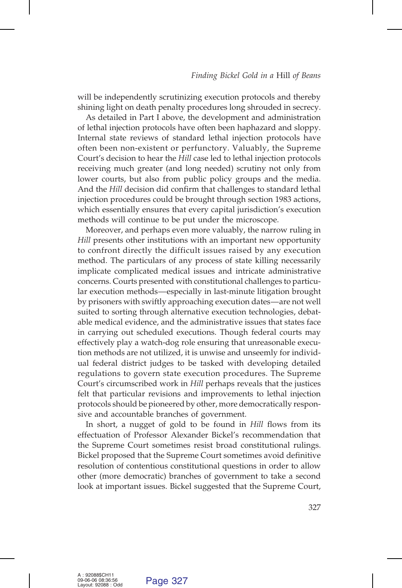will be independently scrutinizing execution protocols and thereby shining light on death penalty procedures long shrouded in secrecy.

As detailed in Part I above, the development and administration of lethal injection protocols have often been haphazard and sloppy. Internal state reviews of standard lethal injection protocols have often been non-existent or perfunctory. Valuably, the Supreme Court's decision to hear the *Hill* case led to lethal injection protocols receiving much greater (and long needed) scrutiny not only from lower courts, but also from public policy groups and the media. And the *Hill* decision did confirm that challenges to standard lethal injection procedures could be brought through section 1983 actions, which essentially ensures that every capital jurisdiction's execution methods will continue to be put under the microscope.

Moreover, and perhaps even more valuably, the narrow ruling in *Hill* presents other institutions with an important new opportunity to confront directly the difficult issues raised by any execution method. The particulars of any process of state killing necessarily implicate complicated medical issues and intricate administrative concerns. Courts presented with constitutional challenges to particular execution methods—especially in last-minute litigation brought by prisoners with swiftly approaching execution dates—are not well suited to sorting through alternative execution technologies, debatable medical evidence, and the administrative issues that states face in carrying out scheduled executions. Though federal courts may effectively play a watch-dog role ensuring that unreasonable execution methods are not utilized, it is unwise and unseemly for individual federal district judges to be tasked with developing detailed regulations to govern state execution procedures. The Supreme Court's circumscribed work in *Hill* perhaps reveals that the justices felt that particular revisions and improvements to lethal injection protocols should be pioneered by other, more democratically responsive and accountable branches of government.

In short, a nugget of gold to be found in *Hill* flows from its effectuation of Professor Alexander Bickel's recommendation that the Supreme Court sometimes resist broad constitutional rulings. Bickel proposed that the Supreme Court sometimes avoid definitive resolution of contentious constitutional questions in order to allow other (more democratic) branches of government to take a second look at important issues. Bickel suggested that the Supreme Court,

A : 92088\$CH11 09-06-06 08:36:56<br>09-06-06 08:36:56<br>Layout: 92088 : Odd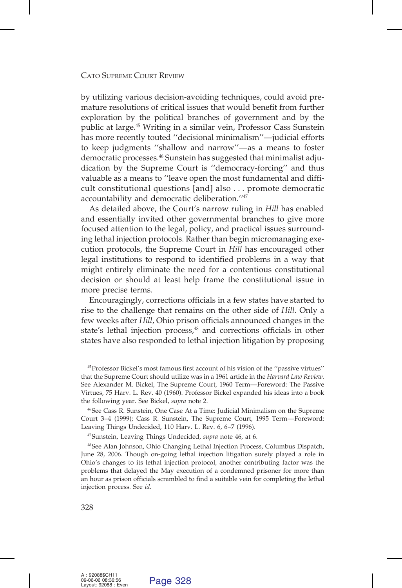by utilizing various decision-avoiding techniques, could avoid premature resolutions of critical issues that would benefit from further exploration by the political branches of government and by the public at large.45 Writing in a similar vein, Professor Cass Sunstein has more recently touted ''decisional minimalism''—judicial efforts to keep judgments ''shallow and narrow''—as a means to foster democratic processes.<sup>46</sup> Sunstein has suggested that minimalist adjudication by the Supreme Court is ''democracy-forcing'' and thus valuable as a means to ''leave open the most fundamental and difficult constitutional questions [and] also . . . promote democratic accountability and democratic deliberation.''47

As detailed above, the Court's narrow ruling in *Hill* has enabled and essentially invited other governmental branches to give more focused attention to the legal, policy, and practical issues surrounding lethal injection protocols. Rather than begin micromanaging execution protocols, the Supreme Court in *Hill* has encouraged other legal institutions to respond to identified problems in a way that might entirely eliminate the need for a contentious constitutional decision or should at least help frame the constitutional issue in more precise terms.

Encouragingly, corrections officials in a few states have started to rise to the challenge that remains on the other side of *Hill*. Only a few weeks after *Hill*, Ohio prison officials announced changes in the state's lethal injection process,<sup>48</sup> and corrections officials in other states have also responded to lethal injection litigation by proposing

47Sunstein, Leaving Things Undecided, *supra* note 46, at 6.

<sup>45</sup>Professor Bickel's most famous first account of his vision of the ''passive virtues'' that the Supreme Court should utilize was in a 1961 article in the *Harvard Law Review.* See Alexander M. Bickel, The Supreme Court, 1960 Term—Foreword: The Passive Virtues, 75 Harv. L. Rev. 40 (1960). Professor Bickel expanded his ideas into a book the following year. See Bickel, *supra* note 2.

<sup>46</sup>See Cass R. Sunstein, One Case At a Time: Judicial Minimalism on the Supreme Court 3–4 (1999); Cass R. Sunstein, The Supreme Court, 1995 Term—Foreword: Leaving Things Undecided, 110 Harv. L. Rev. 6, 6–7 (1996).

<sup>48</sup>See Alan Johnson, Ohio Changing Lethal Injection Process, Columbus Dispatch, June 28, 2006. Though on-going lethal injection litigation surely played a role in Ohio's changes to its lethal injection protocol, another contributing factor was the problems that delayed the May execution of a condemned prisoner for more than an hour as prison officials scrambled to find a suitable vein for completing the lethal injection process. See *id.*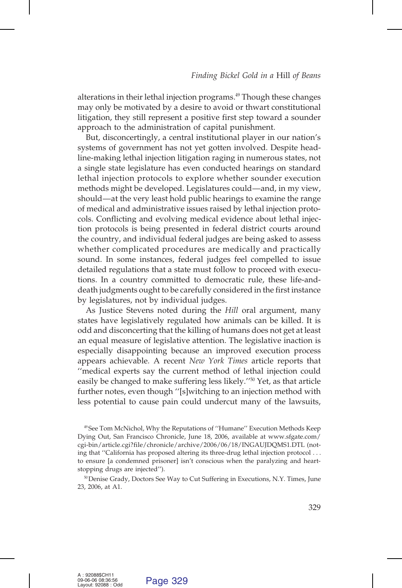alterations in their lethal injection programs.<sup>49</sup> Though these changes may only be motivated by a desire to avoid or thwart constitutional litigation, they still represent a positive first step toward a sounder approach to the administration of capital punishment.

But, disconcertingly, a central institutional player in our nation's systems of government has not yet gotten involved. Despite headline-making lethal injection litigation raging in numerous states, not a single state legislature has even conducted hearings on standard lethal injection protocols to explore whether sounder execution methods might be developed. Legislatures could—and, in my view, should—at the very least hold public hearings to examine the range of medical and administrative issues raised by lethal injection protocols. Conflicting and evolving medical evidence about lethal injection protocols is being presented in federal district courts around the country, and individual federal judges are being asked to assess whether complicated procedures are medically and practically sound. In some instances, federal judges feel compelled to issue detailed regulations that a state must follow to proceed with executions. In a country committed to democratic rule, these life-anddeath judgments ought to be carefully considered in the first instance by legislatures, not by individual judges.

As Justice Stevens noted during the *Hill* oral argument, many states have legislatively regulated how animals can be killed. It is odd and disconcerting that the killing of humans does not get at least an equal measure of legislative attention. The legislative inaction is especially disappointing because an improved execution process appears achievable. A recent *New York Times* article reports that ''medical experts say the current method of lethal injection could easily be changed to make suffering less likely."<sup>50</sup> Yet, as that article further notes, even though ''[s]witching to an injection method with less potential to cause pain could undercut many of the lawsuits,



<sup>49</sup>See Tom McNichol, Why the Reputations of ''Humane'' Execution Methods Keep Dying Out, San Francisco Chronicle, June 18, 2006, available at www.sfgate.com/ cgi-bin/article.cgi?file/chronicle/archive/2006/06/18/INGAUJDQMS1.DTL (noting that ''California has proposed altering its three-drug lethal injection protocol . . . to ensure [a condemned prisoner] isn't conscious when the paralyzing and heartstopping drugs are injected'').

<sup>50</sup>Denise Grady, Doctors See Way to Cut Suffering in Executions, N.Y. Times, June 23, 2006, at A1.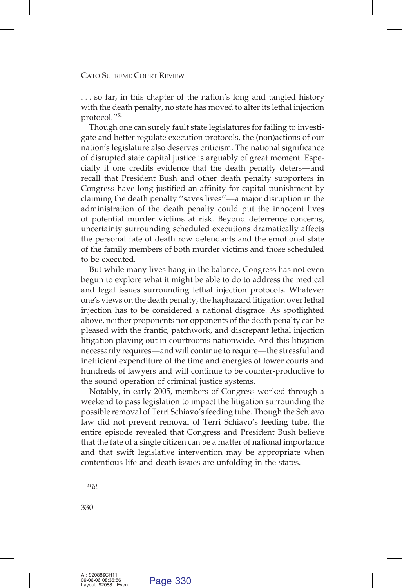. . . so far, in this chapter of the nation's long and tangled history with the death penalty, no state has moved to alter its lethal injection protocol.''51

Though one can surely fault state legislatures for failing to investigate and better regulate execution protocols, the (non)actions of our nation's legislature also deserves criticism. The national significance of disrupted state capital justice is arguably of great moment. Especially if one credits evidence that the death penalty deters—and recall that President Bush and other death penalty supporters in Congress have long justified an affinity for capital punishment by claiming the death penalty ''saves lives''—a major disruption in the administration of the death penalty could put the innocent lives of potential murder victims at risk. Beyond deterrence concerns, uncertainty surrounding scheduled executions dramatically affects the personal fate of death row defendants and the emotional state of the family members of both murder victims and those scheduled to be executed.

But while many lives hang in the balance, Congress has not even begun to explore what it might be able to do to address the medical and legal issues surrounding lethal injection protocols. Whatever one's views on the death penalty, the haphazard litigation over lethal injection has to be considered a national disgrace. As spotlighted above, neither proponents nor opponents of the death penalty can be pleased with the frantic, patchwork, and discrepant lethal injection litigation playing out in courtrooms nationwide. And this litigation necessarily requires—and will continue to require—the stressful and inefficient expenditure of the time and energies of lower courts and hundreds of lawyers and will continue to be counter-productive to the sound operation of criminal justice systems.

Notably, in early 2005, members of Congress worked through a weekend to pass legislation to impact the litigation surrounding the possible removal of Terri Schiavo's feeding tube. Though the Schiavo law did not prevent removal of Terri Schiavo's feeding tube, the entire episode revealed that Congress and President Bush believe that the fate of a single citizen can be a matter of national importance and that swift legislative intervention may be appropriate when contentious life-and-death issues are unfolding in the states.

<sup>51</sup> *Id.*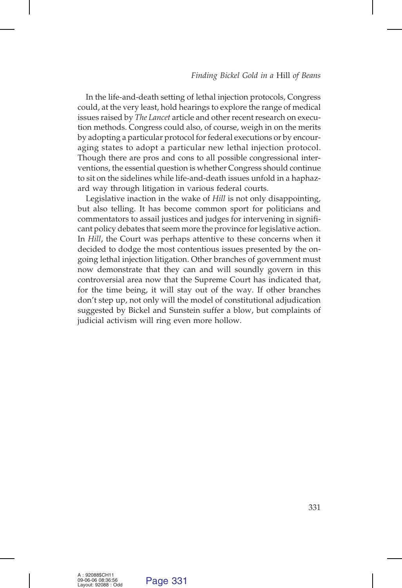#### *Finding Bickel Gold in a* Hill *of Beans*

In the life-and-death setting of lethal injection protocols, Congress could, at the very least, hold hearings to explore the range of medical issues raised by *The Lancet* article and other recent research on execution methods. Congress could also, of course, weigh in on the merits by adopting a particular protocol for federal executions or by encouraging states to adopt a particular new lethal injection protocol. Though there are pros and cons to all possible congressional interventions, the essential question is whether Congress should continue to sit on the sidelines while life-and-death issues unfold in a haphazard way through litigation in various federal courts.

Legislative inaction in the wake of *Hill* is not only disappointing, but also telling. It has become common sport for politicians and commentators to assail justices and judges for intervening in significant policy debates that seem more the province for legislative action. In *Hill*, the Court was perhaps attentive to these concerns when it decided to dodge the most contentious issues presented by the ongoing lethal injection litigation. Other branches of government must now demonstrate that they can and will soundly govern in this controversial area now that the Supreme Court has indicated that, for the time being, it will stay out of the way. If other branches don't step up, not only will the model of constitutional adjudication suggested by Bickel and Sunstein suffer a blow, but complaints of judicial activism will ring even more hollow.